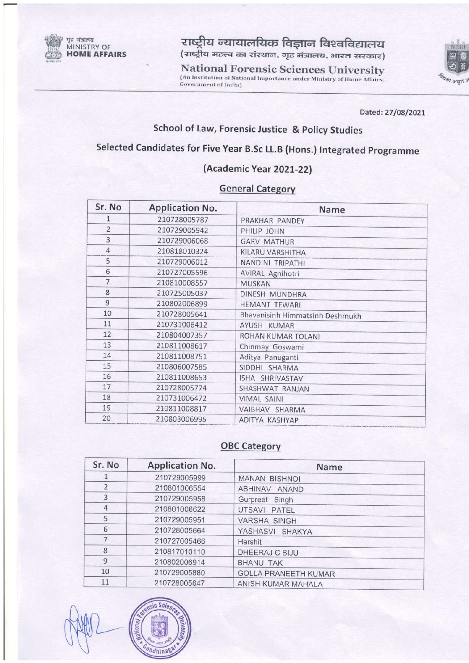

राष्ट्रीय न्यायालयिक विज्ञान विश्वविद्यालय (राष्ट्रीय महत्त्व का संस्थान, गृह मंत्रालय, भारत सरकार)

**National Forensic Sciences University** (An Institution of National Importance under Ministry of Home Affairs, **Government of India)** 



Dated: 27/08/2021

# School of Law, Forensic Justice & Policy Studies

# Selected Candidates for Five Year B.Sc LL.B (Hons.) Integrated Programme

#### (Academic Year 2021-22)

### **General Category**

| Sr. No         | <b>Application No.</b> | Name                            |
|----------------|------------------------|---------------------------------|
| 1              | 210728005787           | PRAKHAR PANDEY                  |
| $\overline{2}$ | 210729005942           | PHILIP JOHN                     |
| 3              | 210729006068           | <b>GARV MATHUR</b>              |
| $\overline{4}$ | 210818010324           | KILARU VARSHITHA                |
| 5              | 210729006012           | NANDINI TRIPATHI                |
| 6              | 210727005596           | AVIRAL Agnihotri                |
| 7              | 210810008557           | <b>MUSKAN</b>                   |
| 8              | 210725005037           | DINESH MUNDHRA                  |
| $\overline{9}$ | 210802006899           | <b>HEMANT TEWARI</b>            |
| 10             | 210728005641           | Bhavanisinh Himmatsinh Deshmukh |
| 11             | 210731006412           | AYUSH KUMAR                     |
| 12             | 210804007357           | ROHAN KUMAR TOLANI              |
| 13             | 210811008617           | Chinmay Goswami                 |
| 14             | 210811008751           | Aditya Panuganti                |
| 15             | 210806007585           | SIDDHI SHARMA                   |
| 16             | 210811008653           | ISHA SHRIVASTAV                 |
| 17             | 210728005774           | SHASHWAT RANJAN                 |
| 18             | 210731006472           | <b>VIMAL SAINI</b>              |
| 19             | 210811008817           | VAIBHAV SHARMA                  |
| 20             | 210803006995           | ADITYA KASHYAP                  |

## **OBC Category**

| Sr. No                   | <b>Application No.</b> | Name                        |  |
|--------------------------|------------------------|-----------------------------|--|
|                          | 210729005999           | <b>MANAN BISHNOL</b>        |  |
| $\overline{\phantom{a}}$ | 210801006554           | ABHINAV ANAND               |  |
| 3                        | 210729005958           | Gurpreet Singh              |  |
| 4                        | 210801006622           | UTSAVI PATEL                |  |
| 5                        | 210729005951           | <b>VARSHA SINGH</b>         |  |
| 6                        | 210728005664           | YASHASVI SHAKYA             |  |
|                          | 210727005466           | Harshit                     |  |
| 8                        | 210817010110           | DHEERAJ C BIJU              |  |
| 9                        | 210802006914           | <b>BHANU TAK</b>            |  |
| 10                       | 210729005880           | <b>GOLLA PRANEETH KUMAR</b> |  |
| 11                       | 210728005647           | ANISH KUMAR MAHALA          |  |

 $22.5$ andhinas